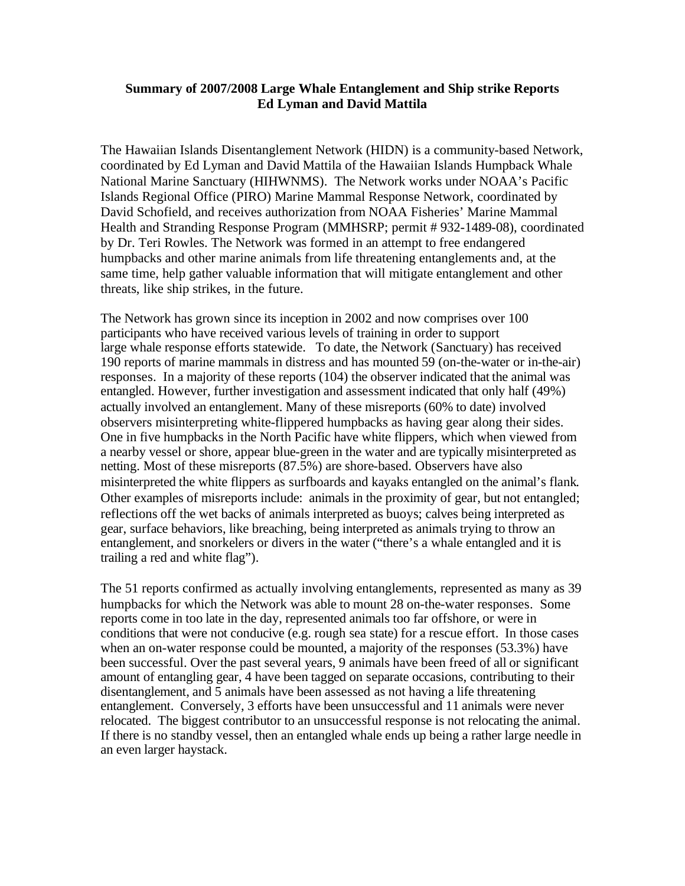## **Summary of 2007/2008 Large Whale Entanglement and Ship strike Reports Ed Lyman and David Mattila**

 The Hawaiian Islands Disentanglement Network (HIDN) is a community-based Network, coordinated by Ed Lyman and David Mattila of the Hawaiian Islands Humpback Whale National Marine Sanctuary (HIHWNMS). The Network works under NOAA's Pacific Islands Regional Office (PIRO) Marine Mammal Response Network, coordinated by David Schofield, and receives authorization from NOAA Fisheries' Marine Mammal Health and Stranding Response Program (MMHSRP; permit # 932-1489-08), coordinated by Dr. Teri Rowles. The Network was formed in an attempt to free endangered humpbacks and other marine animals from life threatening entanglements and, at the same time, help gather valuable information that will mitigate entanglement and other threats, like ship strikes, in the future.

 The Network has grown since its inception in 2002 and now comprises over 100 participants who have received various levels of training in order to support large whale response efforts statewide. To date, the Network (Sanctuary) has received 190 reports of marine mammals in distress and has mounted 59 (on-the-water or in-the-air) responses. In a majority of these reports (104) the observer indicated that the animal was entangled. However, further investigation and assessment indicated that only half (49%) actually involved an entanglement. Many of these misreports (60% to date) involved observers misinterpreting white-flippered humpbacks as having gear along their sides. One in five humpbacks in the North Pacific have white flippers, which when viewed from a nearby vessel or shore, appear blue-green in the water and are typically misinterpreted as netting. Most of these misreports (87.5%) are shore-based. Observers have also misinterpreted the white flippers as surfboards and kayaks entangled on the animal's flank. Other examples of misreports include: animals in the proximity of gear, but not entangled; reflections off the wet backs of animals interpreted as buoys; calves being interpreted as gear, surface behaviors, like breaching, being interpreted as animals trying to throw an entanglement, and snorkelers or divers in the water ("there's a whale entangled and it is trailing a red and white flag").

 The 51 reports confirmed as actually involving entanglements, represented as many as 39 humpbacks for which the Network was able to mount 28 on-the-water responses. Some reports come in too late in the day, represented animals too far offshore, or were in conditions that were not conducive (e.g. rough sea state) for a rescue effort. In those cases when an on-water response could be mounted, a majority of the responses (53.3%) have been successful. Over the past several years, 9 animals have been freed of all or significant amount of entangling gear, 4 have been tagged on separate occasions, contributing to their disentanglement, and 5 animals have been assessed as not having a life threatening entanglement. Conversely, 3 efforts have been unsuccessful and 11 animals were never relocated. The biggest contributor to an unsuccessful response is not relocating the animal. If there is no standby vessel, then an entangled whale ends up being a rather large needle in an even larger haystack.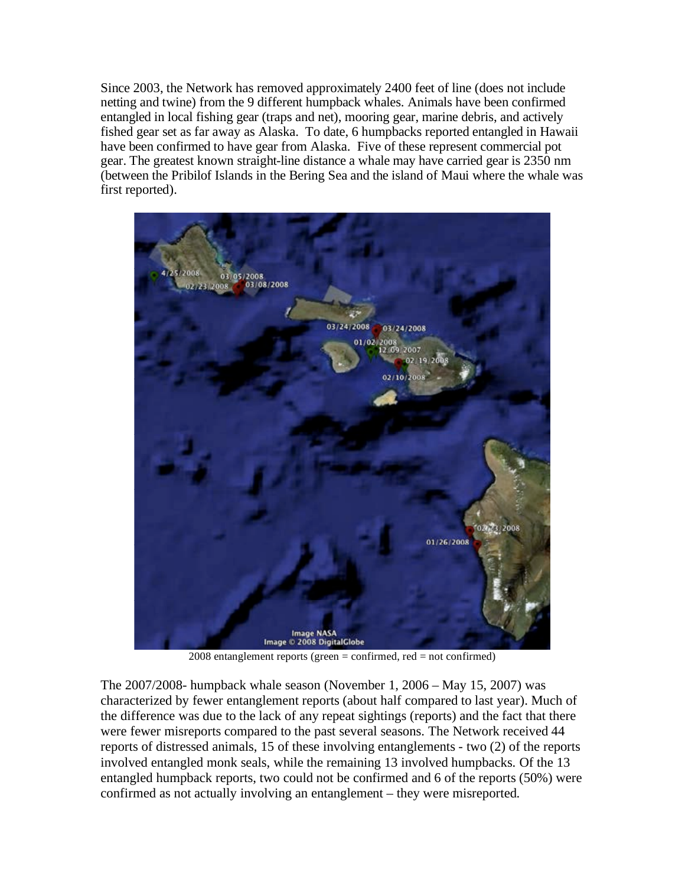Since 2003, the Network has removed approximately 2400 feet of line (does not include netting and twine) from the 9 different humpback whales. Animals have been confirmed entangled in local fishing gear (traps and net), mooring gear, marine debris, and actively fished gear set as far away as Alaska. To date, 6 humpbacks reported entangled in Hawaii have been confirmed to have gear from Alaska. Five of these represent commercial pot gear. The greatest known straight-line distance a whale may have carried gear is 2350 nm (between the Pribilof Islands in the Bering Sea and the island of Maui where the whale was first reported).



2008 entanglement reports (green = confirmed, red = not confirmed)

 The 2007/2008- humpback whale season (November 1, 2006 – May 15, 2007) was characterized by fewer entanglement reports (about half compared to last year). Much of the difference was due to the lack of any repeat sightings (reports) and the fact that there were fewer misreports compared to the past several seasons. The Network received 44 reports of distressed animals, 15 of these involving entanglements - two (2) of the reports involved entangled monk seals, while the remaining 13 involved humpbacks. Of the 13 entangled humpback reports, two could not be confirmed and 6 of the reports (50%) were confirmed as not actually involving an entanglement – they were misreported.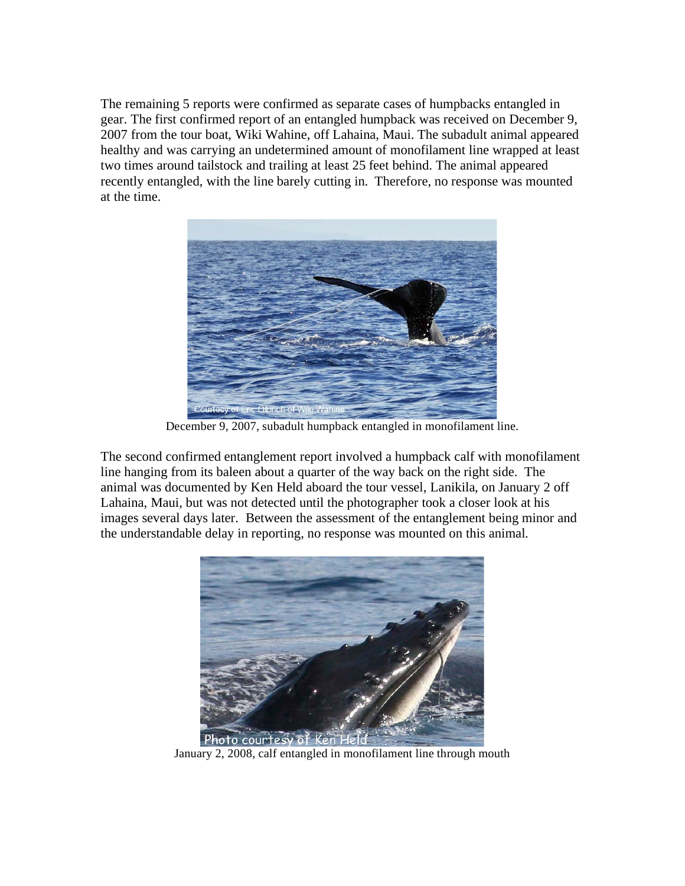The remaining 5 reports were confirmed as separate cases of humpbacks entangled in gear. The first confirmed report of an entangled humpback was received on December 9, 2007 from the tour boat, Wiki Wahine, off Lahaina, Maui. The subadult animal appeared healthy and was carrying an undetermined amount of monofilament line wrapped at least two times around tailstock and trailing at least 25 feet behind. The animal appeared recently entangled, with the line barely cutting in. Therefore, no response was mounted at the time.



December 9, 2007, subadult humpback entangled in monofilament line.

 The second confirmed entanglement report involved a humpback calf with monofilament line hanging from its baleen about a quarter of the way back on the right side. The animal was documented by Ken Held aboard the tour vessel, Lanikila, on January 2 off Lahaina, Maui, but was not detected until the photographer took a closer look at his images several days later. Between the assessment of the entanglement being minor and the understandable delay in reporting, no response was mounted on this animal.



January 2, 2008, calf entangled in monofilament line through mouth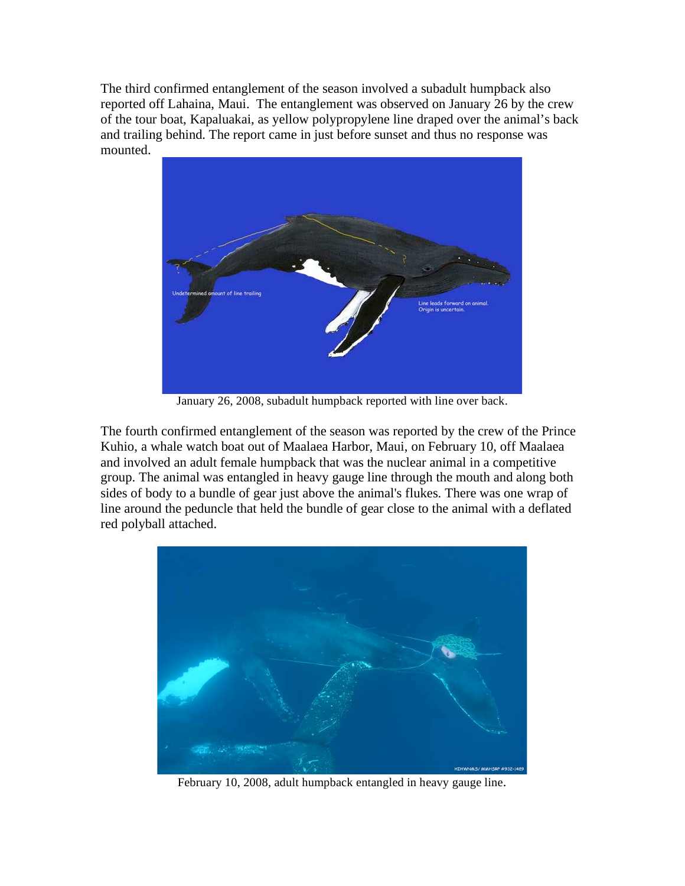The third confirmed entanglement of the season involved a subadult humpback also reported off Lahaina, Maui. The entanglement was observed on January 26 by the crew of the tour boat, Kapaluakai, as yellow polypropylene line draped over the animal's back and trailing behind. The report came in just before sunset and thus no response was mounted.



January 26, 2008, subadult humpback reported with line over back.

 The fourth confirmed entanglement of the season was reported by the crew of the Prince Kuhio, a whale watch boat out of Maalaea Harbor, Maui, on February 10, off Maalaea and involved an adult female humpback that was the nuclear animal in a competitive group. The animal was entangled in heavy gauge line through the mouth and along both sides of body to a bundle of gear just above the animal's flukes. There was one wrap of line around the peduncle that held the bundle of gear close to the animal with a deflated red polyball attached.



February 10, 2008, adult humpback entangled in heavy gauge line.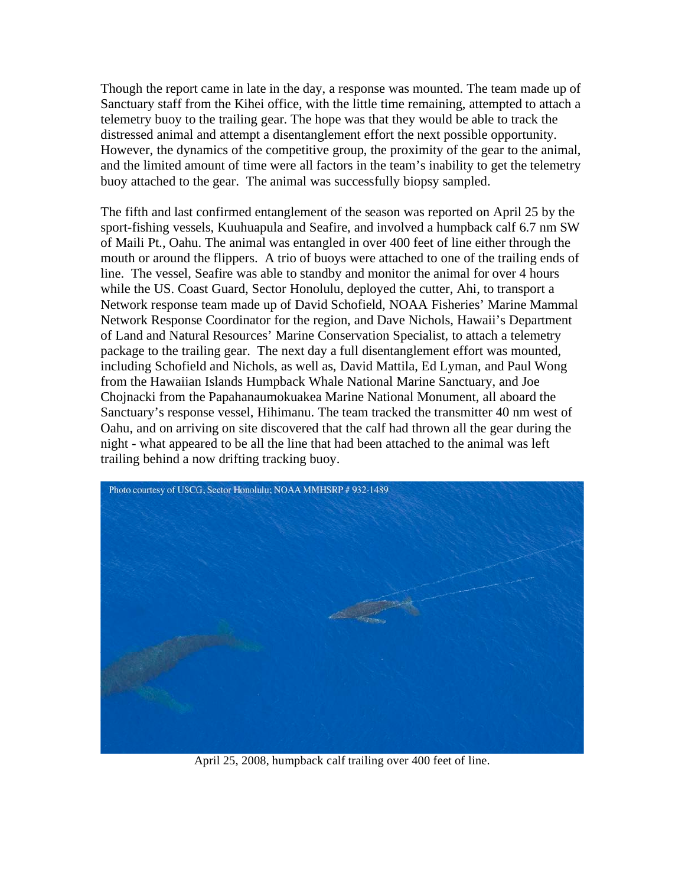Though the report came in late in the day, a response was mounted. The team made up of Sanctuary staff from the Kihei office, with the little time remaining, attempted to attach a telemetry buoy to the trailing gear. The hope was that they would be able to track the distressed animal and attempt a disentanglement effort the next possible opportunity. However, the dynamics of the competitive group, the proximity of the gear to the animal, and the limited amount of time were all factors in the team's inability to get the telemetry buoy attached to the gear. The animal was successfully biopsy sampled.

 The fifth and last confirmed entanglement of the season was reported on April 25 by the sport-fishing vessels, Kuuhuapula and Seafire, and involved a humpback calf 6.7 nm SW of Maili Pt., Oahu. The animal was entangled in over 400 feet of line either through the mouth or around the flippers. A trio of buoys were attached to one of the trailing ends of line. The vessel, Seafire was able to standby and monitor the animal for over 4 hours while the US. Coast Guard, Sector Honolulu, deployed the cutter, Ahi, to transport a Network response team made up of David Schofield, NOAA Fisheries' Marine Mammal Network Response Coordinator for the region, and Dave Nichols, Hawaii's Department of Land and Natural Resources' Marine Conservation Specialist, to attach a telemetry package to the trailing gear. The next day a full disentanglement effort was mounted, including Schofield and Nichols, as well as, David Mattila, Ed Lyman, and Paul Wong from the Hawaiian Islands Humpback Whale National Marine Sanctuary, and Joe Chojnacki from the Papahanaumokuakea Marine National Monument, all aboard the Sanctuary's response vessel, Hihimanu. The team tracked the transmitter 40 nm west of Oahu, and on arriving on site discovered that the calf had thrown all the gear during the night - what appeared to be all the line that had been attached to the animal was left trailing behind a now drifting tracking buoy.



April 25, 2008, humpback calf trailing over 400 feet of line.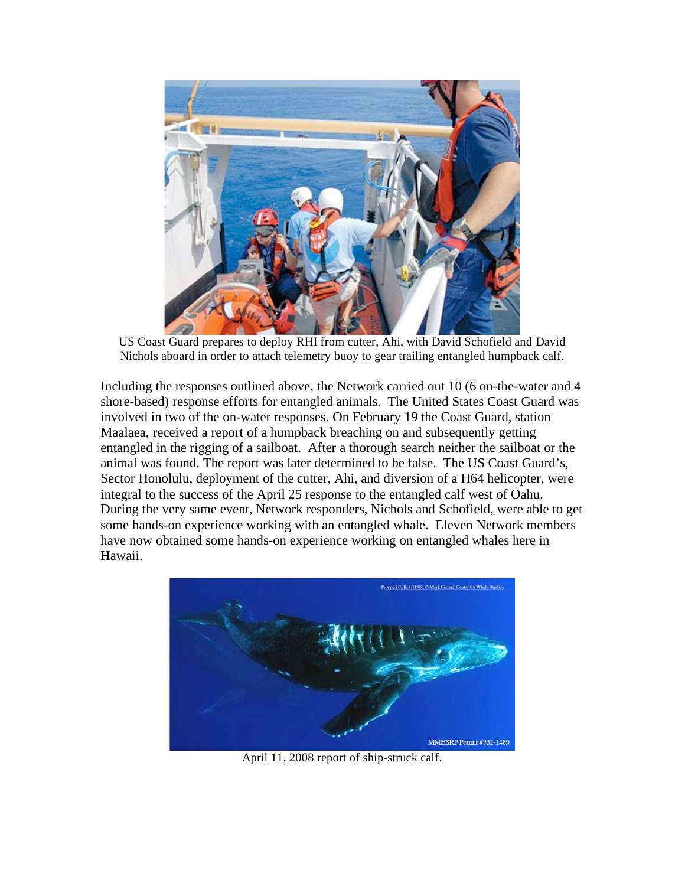

 US Coast Guard prepares to deploy RHI from cutter, Ahi, with David Schofield and David Nichols aboard in order to attach telemetry buoy to gear trailing entangled humpback calf.

 Including the responses outlined above, the Network carried out 10 (6 on-the-water and 4 shore-based) response efforts for entangled animals. The United States Coast Guard was involved in two of the on-water responses. On February 19 the Coast Guard, station Maalaea, received a report of a humpback breaching on and subsequently getting entangled in the rigging of a sailboat. After a thorough search neither the sailboat or the animal was found. The report was later determined to be false. The US Coast Guard's, Sector Honolulu, deployment of the cutter, Ahi, and diversion of a H64 helicopter, were integral to the success of the April 25 response to the entangled calf west of Oahu. During the very same event, Network responders, Nichols and Schofield, were able to get some hands-on experience working with an entangled whale. Eleven Network members have now obtained some hands-on experience working on entangled whales here in Hawaii.



April 11, 2008 report of ship-struck calf.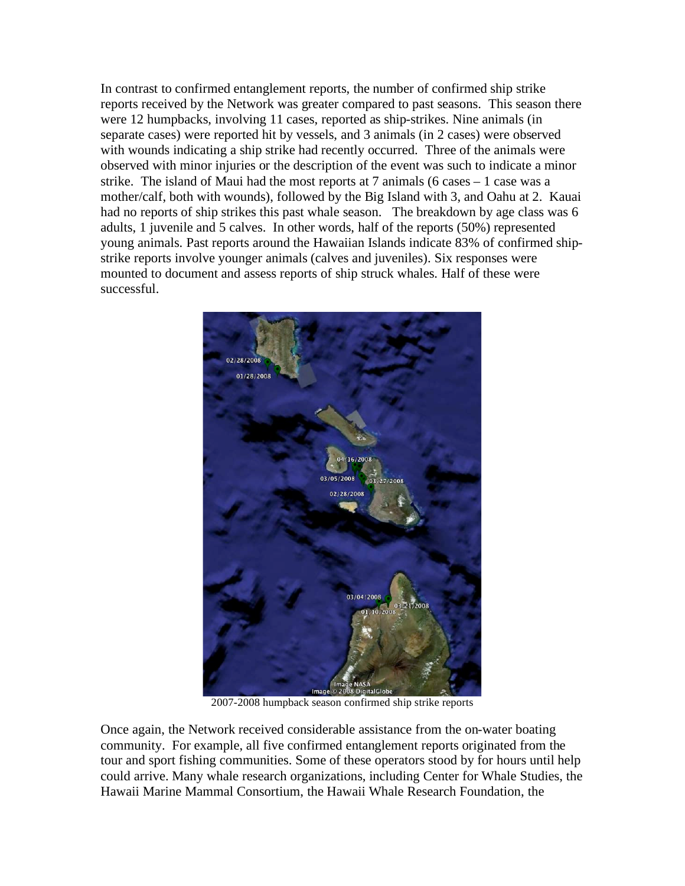In contrast to confirmed entanglement reports, the number of confirmed ship strike reports received by the Network was greater compared to past seasons. This season there were 12 humpbacks, involving 11 cases, reported as ship-strikes. Nine animals (in separate cases) were reported hit by vessels, and 3 animals (in 2 cases) were observed with wounds indicating a ship strike had recently occurred. Three of the animals were observed with minor injuries or the description of the event was such to indicate a minor strike. The island of Maui had the most reports at 7 animals (6 cases – 1 case was a mother/calf, both with wounds), followed by the Big Island with 3, and Oahu at 2. Kauai had no reports of ship strikes this past whale season. The breakdown by age class was 6 adults, 1 juvenile and 5 calves. In other words, half of the reports (50%) represented young animals. Past reports around the Hawaiian Islands indicate 83% of confirmed ship- strike reports involve younger animals (calves and juveniles). Six responses were mounted to document and assess reports of ship struck whales. Half of these were successful.



2007-2008 humpback season confirmed ship strike reports

 Once again, the Network received considerable assistance from the on-water boating community. For example, all five confirmed entanglement reports originated from the tour and sport fishing communities. Some of these operators stood by for hours until help could arrive. Many whale research organizations, including Center for Whale Studies, the Hawaii Marine Mammal Consortium, the Hawaii Whale Research Foundation, the